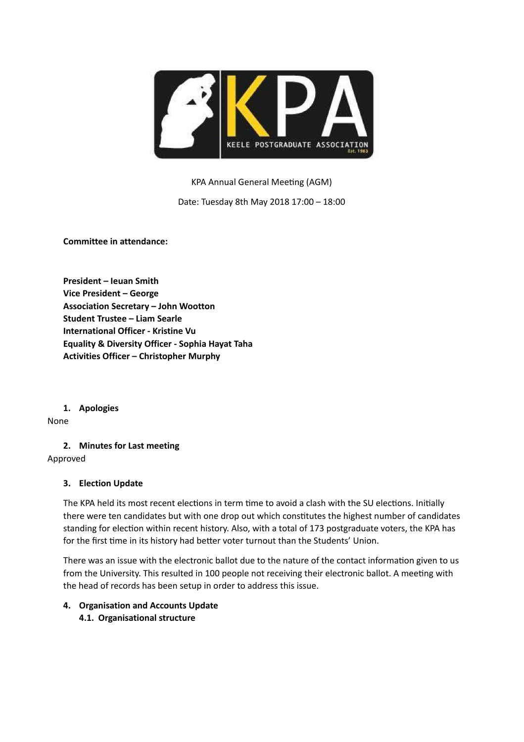

KPA Annual General Meeting (AGM)

Date: Tuesday 8th May 2018 17:00 – 18:00

**Committee in attendance:**

**President – Ieuan Smith Vice President – George Association Secretary – John Wootton Student Trustee – Liam Searle International Officer - Kristine Vu Equality & Diversity Officer - Sophia Hayat Taha Activities Officer – Christopher Murphy**

**1. Apologies**

None

**2. Minutes for Last meeting**

Approved

## **3. Election Update**

The KPA held its most recent elections in term time to avoid a clash with the SU elections. Initially there were ten candidates but with one drop out which constitutes the highest number of candidates standing for election within recent history. Also, with a total of 173 postgraduate voters, the KPA has for the first time in its history had better voter turnout than the Students' Union.

There was an issue with the electronic ballot due to the nature of the contact information given to us from the University. This resulted in 100 people not receiving their electronic ballot. A meeting with the head of records has been setup in order to address this issue.

# **4. Organisation and Accounts Update 4.1. Organisational structure**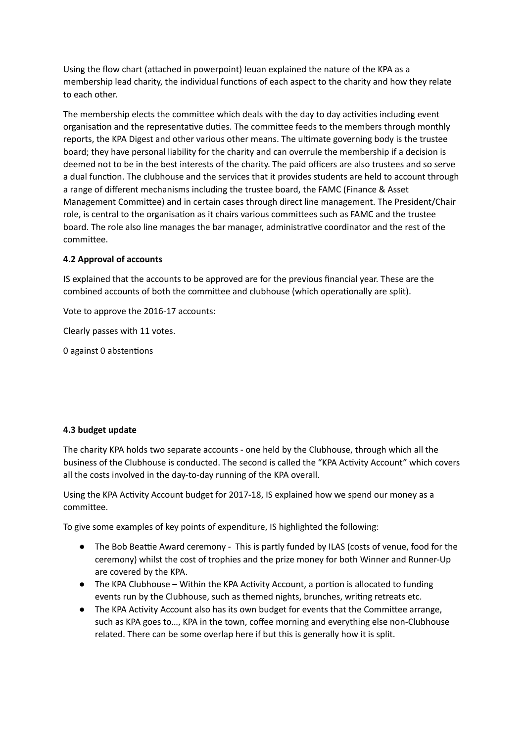Using the flow chart (attached in powerpoint) Ieuan explained the nature of the KPA as a membership lead charity, the individual functions of each aspect to the charity and how they relate to each other.

The membership elects the committee which deals with the day to day activities including event organisation and the representative duties. The committee feeds to the members through monthly reports, the KPA Digest and other various other means. The ultimate governing body is the trustee board; they have personal liability for the charity and can overrule the membership if a decision is deemed not to be in the best interests of the charity. The paid officers are also trustees and so serve a dual function. The clubhouse and the services that it provides students are held to account through a range of different mechanisms including the trustee board, the FAMC (Finance & Asset Management Committee) and in certain cases through direct line management. The President/Chair role, is central to the organisation as it chairs various committees such as FAMC and the trustee board. The role also line manages the bar manager, administrative coordinator and the rest of the committee.

# **4.2 Approval of accounts**

IS explained that the accounts to be approved are for the previous financial year. These are the combined accounts of both the committee and clubhouse (which operationally are split).

Vote to approve the 2016-17 accounts:

Clearly passes with 11 votes.

0 against 0 abstentions

## **4.3 budget update**

The charity KPA holds two separate accounts - one held by the Clubhouse, through which all the business of the Clubhouse is conducted. The second is called the "KPA Activity Account" which covers all the costs involved in the day-to-day running of the KPA overall.

Using the KPA Activity Account budget for 2017-18, IS explained how we spend our money as a committee.

To give some examples of key points of expenditure, IS highlighted the following:

- The Bob Beattie Award ceremony This is partly funded by ILAS (costs of venue, food for the ceremony) whilst the cost of trophies and the prize money for both Winner and Runner-Up are covered by the KPA.
- $\bullet$  The KPA Clubhouse Within the KPA Activity Account, a portion is allocated to funding events run by the Clubhouse, such as themed nights, brunches, writing retreats etc.
- The KPA Activity Account also has its own budget for events that the Committee arrange, such as KPA goes to…, KPA in the town, coffee morning and everything else non-Clubhouse related. There can be some overlap here if but this is generally how it is split.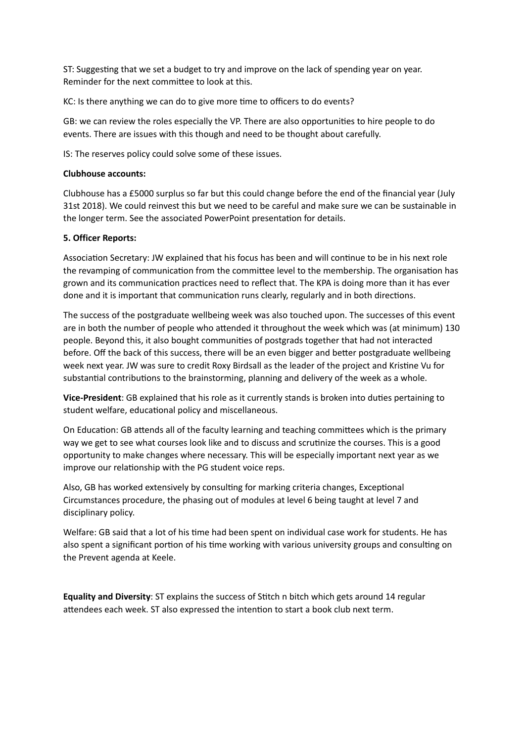ST: Suggesting that we set a budget to try and improve on the lack of spending year on year. Reminder for the next committee to look at this.

KC: Is there anything we can do to give more time to officers to do events?

GB: we can review the roles especially the VP. There are also opportunities to hire people to do events. There are issues with this though and need to be thought about carefully.

IS: The reserves policy could solve some of these issues.

# **Clubhouse accounts:**

Clubhouse has a £5000 surplus so far but this could change before the end of the financial year (July 31st 2018). We could reinvest this but we need to be careful and make sure we can be sustainable in the longer term. See the associated PowerPoint presentation for details.

# **5. Officer Reports:**

Association Secretary: JW explained that his focus has been and will continue to be in his next role the revamping of communication from the committee level to the membership. The organisation has grown and its communication practices need to reflect that. The KPA is doing more than it has ever done and it is important that communication runs clearly, regularly and in both directions.

The success of the postgraduate wellbeing week was also touched upon. The successes of this event are in both the number of people who attended it throughout the week which was (at minimum) 130 people. Beyond this, it also bought communities of postgrads together that had not interacted before. Off the back of this success, there will be an even bigger and better postgraduate wellbeing week next year. JW was sure to credit Roxy Birdsall as the leader of the project and Kristine Vu for substantial contributions to the brainstorming, planning and delivery of the week as a whole.

**Vice-President**: GB explained that his role as it currently stands is broken into duties pertaining to student welfare, educational policy and miscellaneous.

On Education: GB attends all of the faculty learning and teaching committees which is the primary way we get to see what courses look like and to discuss and scrutinize the courses. This is a good opportunity to make changes where necessary. This will be especially important next year as we improve our relationship with the PG student voice reps.

Also, GB has worked extensively by consulting for marking criteria changes, Exceptional Circumstances procedure, the phasing out of modules at level 6 being taught at level 7 and disciplinary policy.

Welfare: GB said that a lot of his time had been spent on individual case work for students. He has also spent a significant portion of his time working with various university groups and consulting on the Prevent agenda at Keele.

**Equality and Diversity:** ST explains the success of Stitch n bitch which gets around 14 regular attendees each week. ST also expressed the intention to start a book club next term.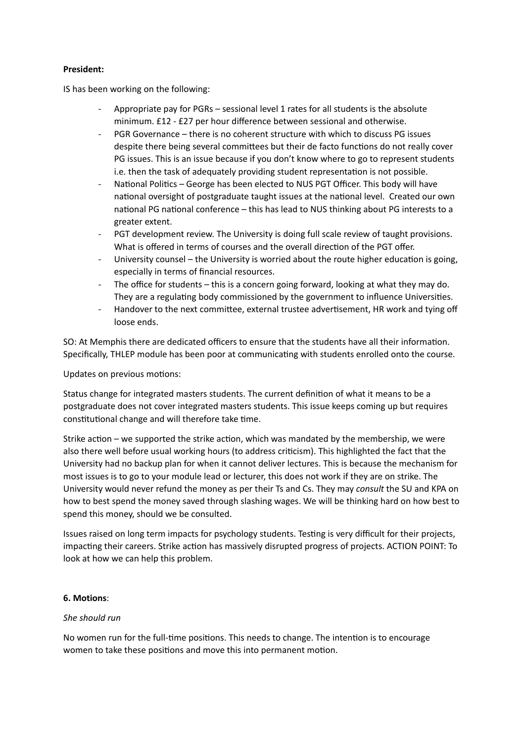# **President:**

IS has been working on the following:

- Appropriate pay for PGRs sessional level 1 rates for all students is the absolute minimum. £12 - £27 per hour difference between sessional and otherwise.
- PGR Governance there is no coherent structure with which to discuss PG issues despite there being several committees but their de facto functions do not really cover PG issues. This is an issue because if you don't know where to go to represent students i.e. then the task of adequately providing student representation is not possible.
- National Politics George has been elected to NUS PGT Officer. This body will have national oversight of postgraduate taught issues at the national level. Created our own national PG national conference – this has lead to NUS thinking about PG interests to a greater extent.
- PGT development review. The University is doing full scale review of taught provisions. What is offered in terms of courses and the overall direction of the PGT offer.
- University counsel the University is worried about the route higher education is going, especially in terms of financial resources.
- The office for students this is a concern going forward, looking at what they may do. They are a regulating body commissioned by the government to influence Universities.
- Handover to the next committee, external trustee advertisement, HR work and tying off loose ends.

SO: At Memphis there are dedicated officers to ensure that the students have all their information. Specifically, THLEP module has been poor at communicating with students enrolled onto the course.

Updates on previous motions:

Status change for integrated masters students. The current definition of what it means to be a postgraduate does not cover integrated masters students. This issue keeps coming up but requires constitutional change and will therefore take time.

Strike action – we supported the strike action, which was mandated by the membership, we were also there well before usual working hours (to address criticism). This highlighted the fact that the University had no backup plan for when it cannot deliver lectures. This is because the mechanism for most issues is to go to your module lead or lecturer, this does not work if they are on strike. The University would never refund the money as per their Ts and Cs. They may *consult* the SU and KPA on how to best spend the money saved through slashing wages. We will be thinking hard on how best to spend this money, should we be consulted.

Issues raised on long term impacts for psychology students. Testing is very difficult for their projects, impacting their careers. Strike action has massively disrupted progress of projects. ACTION POINT: To look at how we can help this problem.

## **6. Motions**:

## *She should run*

No women run for the full-time positions. This needs to change. The intention is to encourage women to take these positions and move this into permanent motion.